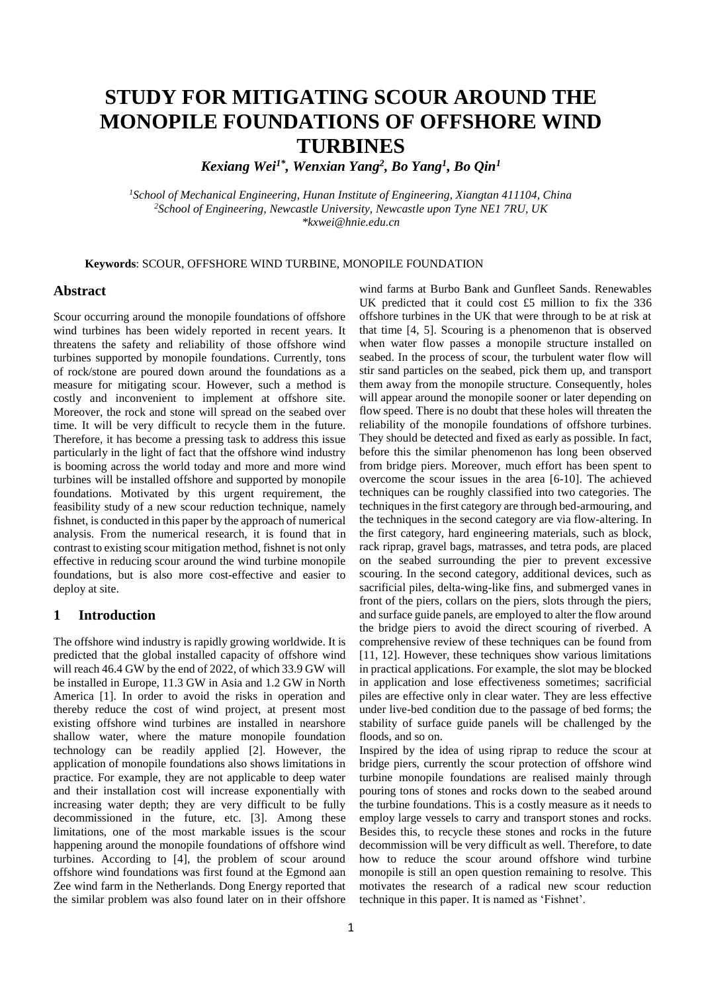# **STUDY FOR MITIGATING SCOUR AROUND THE MONOPILE FOUNDATIONS OF OFFSHORE WIND TURBINES**

*Kexiang Wei1\* , Wenxian Yang<sup>2</sup> , Bo Yang<sup>1</sup> , Bo Qin<sup>1</sup>*

*<sup>1</sup>School of Mechanical Engineering, Hunan Institute of Engineering, Xiangtan 411104, China <sup>2</sup>School of Engineering, Newcastle University, Newcastle upon Tyne NE1 7RU, UK \*kxwei@hnie.edu.cn*

**Keywords**: SCOUR, OFFSHORE WIND TURBINE, MONOPILE FOUNDATION

#### **Abstract**

Scour occurring around the monopile foundations of offshore wind turbines has been widely reported in recent years. It threatens the safety and reliability of those offshore wind turbines supported by monopile foundations. Currently, tons of rock/stone are poured down around the foundations as a measure for mitigating scour. However, such a method is costly and inconvenient to implement at offshore site. Moreover, the rock and stone will spread on the seabed over time. It will be very difficult to recycle them in the future. Therefore, it has become a pressing task to address this issue particularly in the light of fact that the offshore wind industry is booming across the world today and more and more wind turbines will be installed offshore and supported by monopile foundations. Motivated by this urgent requirement, the feasibility study of a new scour reduction technique, namely fishnet, is conducted in this paper by the approach of numerical analysis. From the numerical research, it is found that in contrast to existing scour mitigation method, fishnet is not only effective in reducing scour around the wind turbine monopile foundations, but is also more cost-effective and easier to deploy at site.

## **1 Introduction**

The offshore wind industry is rapidly growing worldwide. It is predicted that the global installed capacity of offshore wind will reach 46.4 GW by the end of 2022, of which 33.9 GW will be installed in Europe, 11.3 GW in Asia and 1.2 GW in North America [1]. In order to avoid the risks in operation and thereby reduce the cost of wind project, at present most existing offshore wind turbines are installed in nearshore shallow water, where the mature monopile foundation technology can be readily applied [2]. However, the application of monopile foundations also shows limitations in practice. For example, they are not applicable to deep water and their installation cost will increase exponentially with increasing water depth; they are very difficult to be fully decommissioned in the future, etc. [3]. Among these limitations, one of the most markable issues is the scour happening around the monopile foundations of offshore wind turbines. According to [4], the problem of scour around offshore wind foundations was first found at the Egmond aan Zee wind farm in the Netherlands. Dong Energy reported that the similar problem was also found later on in their offshore wind farms at Burbo Bank and Gunfleet Sands. Renewables UK predicted that it could cost £5 million to fix the 336 offshore turbines in the UK that were through to be at risk at that time [4, 5]. Scouring is a phenomenon that is observed when water flow passes a monopile structure installed on seabed. In the process of scour, the turbulent water flow will stir sand particles on the seabed, pick them up, and transport them away from the monopile structure. Consequently, holes will appear around the monopile sooner or later depending on flow speed. There is no doubt that these holes will threaten the reliability of the monopile foundations of offshore turbines. They should be detected and fixed as early as possible. In fact, before this the similar phenomenon has long been observed from bridge piers. Moreover, much effort has been spent to overcome the scour issues in the area [6-10]. The achieved techniques can be roughly classified into two categories. The techniques in the first category are through bed-armouring, and the techniques in the second category are via flow-altering. In the first category, hard engineering materials, such as block, rack riprap, gravel bags, matrasses, and tetra pods, are placed on the seabed surrounding the pier to prevent excessive scouring. In the second category, additional devices, such as sacrificial piles, delta-wing-like fins, and submerged vanes in front of the piers, collars on the piers, slots through the piers, and surface guide panels, are employed to alter the flow around the bridge piers to avoid the direct scouring of riverbed. A comprehensive review of these techniques can be found from [11, 12]. However, these techniques show various limitations in practical applications. For example, the slot may be blocked in application and lose effectiveness sometimes; sacrificial piles are effective only in clear water. They are less effective under live-bed condition due to the passage of bed forms; the stability of surface guide panels will be challenged by the floods, and so on.

Inspired by the idea of using riprap to reduce the scour at bridge piers, currently the scour protection of offshore wind turbine monopile foundations are realised mainly through pouring tons of stones and rocks down to the seabed around the turbine foundations. This is a costly measure as it needs to employ large vessels to carry and transport stones and rocks. Besides this, to recycle these stones and rocks in the future decommission will be very difficult as well. Therefore, to date how to reduce the scour around offshore wind turbine monopile is still an open question remaining to resolve. This motivates the research of a radical new scour reduction technique in this paper. It is named as 'Fishnet'.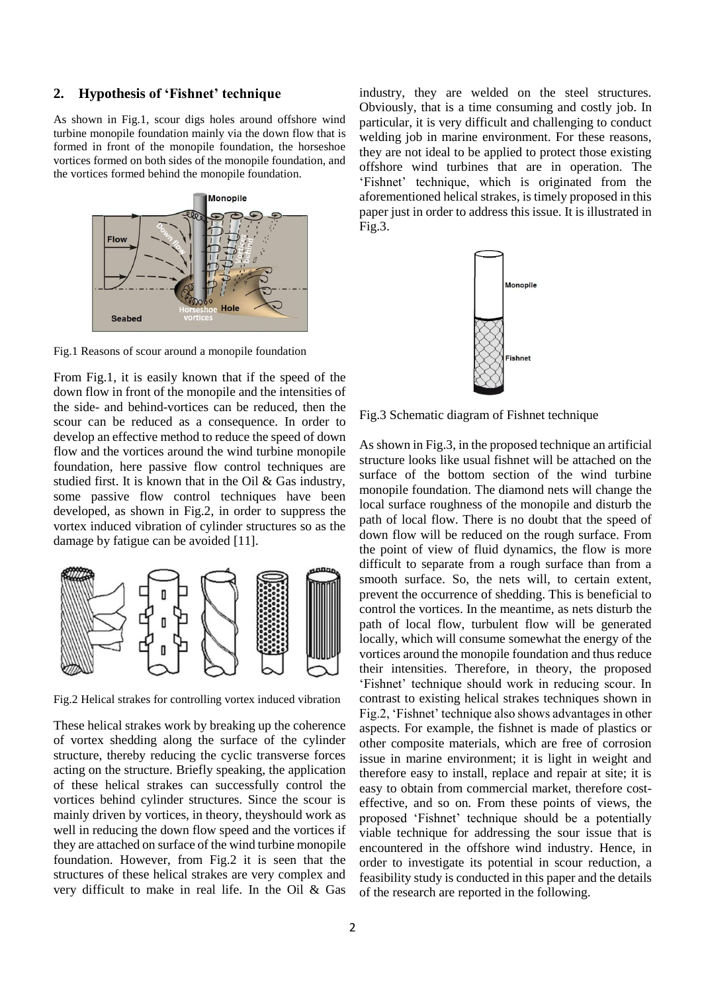#### **2. Hypothesis of 'Fishnet' technique**

As shown in Fig.1, scour digs holes around offshore wind turbine monopile foundation mainly via the down flow that is formed in front of the monopile foundation, the horseshoe vortices formed on both sides of the monopile foundation, and the vortices formed behind the monopile foundation.



Fig.1 Reasons of scour around a monopile foundation

From Fig.1, it is easily known that if the speed of the down flow in front of the monopile and the intensities of the side- and behind-vortices can be reduced, then the scour can be reduced as a consequence. In order to develop an effective method to reduce the speed of down flow and the vortices around the wind turbine monopile foundation, here passive flow control techniques are studied first. It is known that in the Oil & Gas industry, some passive flow control techniques have been developed, as shown in Fig.2, in order to suppress the vortex induced vibration of cylinder structures so as the damage by fatigue can be avoided [11].



Fig.2 Helical strakes for controlling vortex induced vibration

These helical strakes work by breaking up the coherence of vortex shedding along the surface of the cylinder structure, thereby reducing the cyclic transverse forces acting on the structure. Briefly speaking, the application of these helical strakes can successfully control the vortices behind cylinder structures. Since the scour is mainly driven by vortices, in theory, theyshould work as well in reducing the down flow speed and the vortices if they are attached on surface of the wind turbine monopile foundation. However, from Fig.2 it is seen that the structures of these helical strakes are very complex and very difficult to make in real life. In the Oil & Gas industry, they are welded on the steel structures. Obviously, that is a time consuming and costly job. In particular, it is very difficult and challenging to conduct welding job in marine environment. For these reasons, they are not ideal to be applied to protect those existing offshore wind turbines that are in operation. The 'Fishnet' technique, which is originated from the aforementioned helical strakes, is timely proposed in this paper just in order to address this issue. It is illustrated in Fig.3.



Fig.3 Schematic diagram of Fishnet technique

As shown in Fig.3, in the proposed technique an artificial structure looks like usual fishnet will be attached on the surface of the bottom section of the wind turbine monopile foundation. The diamond nets will change the local surface roughness of the monopile and disturb the path of local flow. There is no doubt that the speed of down flow will be reduced on the rough surface. From the point of view of fluid dynamics, the flow is more difficult to separate from a rough surface than from a smooth surface. So, the nets will, to certain extent, prevent the occurrence of shedding. This is beneficial to control the vortices. In the meantime, as nets disturb the path of local flow, turbulent flow will be generated locally, which will consume somewhat the energy of the vortices around the monopile foundation and thus reduce their intensities. Therefore, in theory, the proposed 'Fishnet' technique should work in reducing scour. In contrast to existing helical strakes techniques shown in Fig.2, 'Fishnet' technique also shows advantages in other aspects. For example, the fishnet is made of plastics or other composite materials, which are free of corrosion issue in marine environment; it is light in weight and therefore easy to install, replace and repair at site; it is easy to obtain from commercial market, therefore costeffective, and so on. From these points of views, the proposed 'Fishnet' technique should be a potentially viable technique for addressing the sour issue that is encountered in the offshore wind industry. Hence, in order to investigate its potential in scour reduction, a feasibility study is conducted in this paper and the details of the research are reported in the following.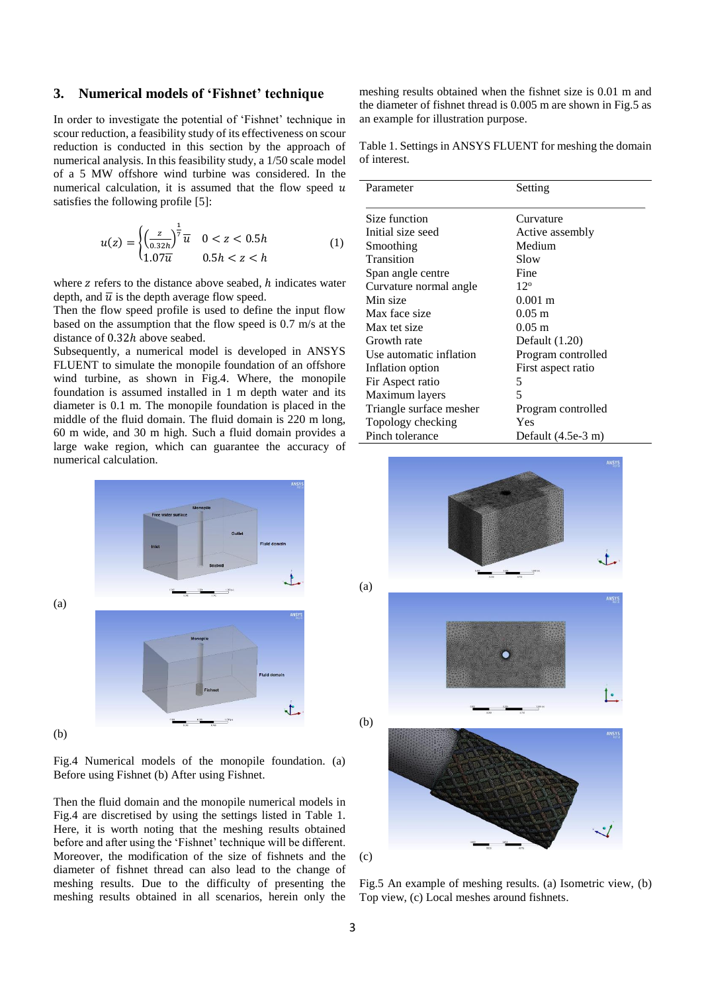### **3. Numerical models of 'Fishnet' technique**

In order to investigate the potential of 'Fishnet' technique in scour reduction, a feasibility study of its effectiveness on scour reduction is conducted in this section by the approach of numerical analysis. In this feasibility study, a 1/50 scale model of a 5 MW offshore wind turbine was considered. In the numerical calculation, it is assumed that the flow speed  $u$ satisfies the following profile [5]:

$$
u(z) = \begin{cases} \left(\frac{z}{0.32h}\right)^{\frac{1}{7}} \overline{u} & 0 < z < 0.5h\\ 1.07\overline{u} & 0.5h < z < h \end{cases} \tag{1}
$$

where  $z$  refers to the distance above seabed,  $h$  indicates water depth, and  $\overline{u}$  is the depth average flow speed.

Then the flow speed profile is used to define the input flow based on the assumption that the flow speed is 0.7 m/s at the distance of 0.32ℎ above seabed.

Subsequently, a numerical model is developed in ANSYS FLUENT to simulate the monopile foundation of an offshore wind turbine, as shown in Fig.4. Where, the monopile foundation is assumed installed in 1 m depth water and its diameter is 0.1 m. The monopile foundation is placed in the middle of the fluid domain. The fluid domain is 220 m long, 60 m wide, and 30 m high. Such a fluid domain provides a large wake region, which can guarantee the accuracy of numerical calculation.

meshing results obtained when the fishnet size is 0.01 m and the diameter of fishnet thread is 0.005 m are shown in Fig.5 as an example for illustration purpose.

Table 1. Settings in ANSYS FLUENT for meshing the domain of interest.

| Parameter               | Setting               |
|-------------------------|-----------------------|
|                         |                       |
| Size function           | Curvature             |
| Initial size seed       | Active assembly       |
| Smoothing               | Medium                |
| Transition              | Slow                  |
| Span angle centre       | Fine                  |
| Curvature normal angle  | $12^{\circ}$          |
| Min size                | $0.001 \; \mathrm{m}$ |
| Max face size           | $0.05 \; \mathrm{m}$  |
| Max tet size            | $0.05 \; \mathrm{m}$  |
| Growth rate             | Default $(1.20)$      |
| Use automatic inflation | Program controlled    |
| Inflation option        | First aspect ratio    |
| Fir Aspect ratio        | 5                     |
| Maximum layers          | 5                     |
| Triangle surface mesher | Program controlled    |
| Topology checking       | Yes                   |
| Pinch tolerance         | Default $(4.5e-3 m)$  |



Fig.4 Numerical models of the monopile foundation. (a) Before using Fishnet (b) After using Fishnet.

Then the fluid domain and the monopile numerical models in Fig.4 are discretised by using the settings listed in Table 1. Here, it is worth noting that the meshing results obtained before and after using the 'Fishnet' technique will be different. Moreover, the modification of the size of fishnets and the diameter of fishnet thread can also lead to the change of meshing results. Due to the difficulty of presenting the meshing results obtained in all scenarios, herein only the



Fig.5 An example of meshing results. (a) Isometric view, (b) Top view, (c) Local meshes around fishnets.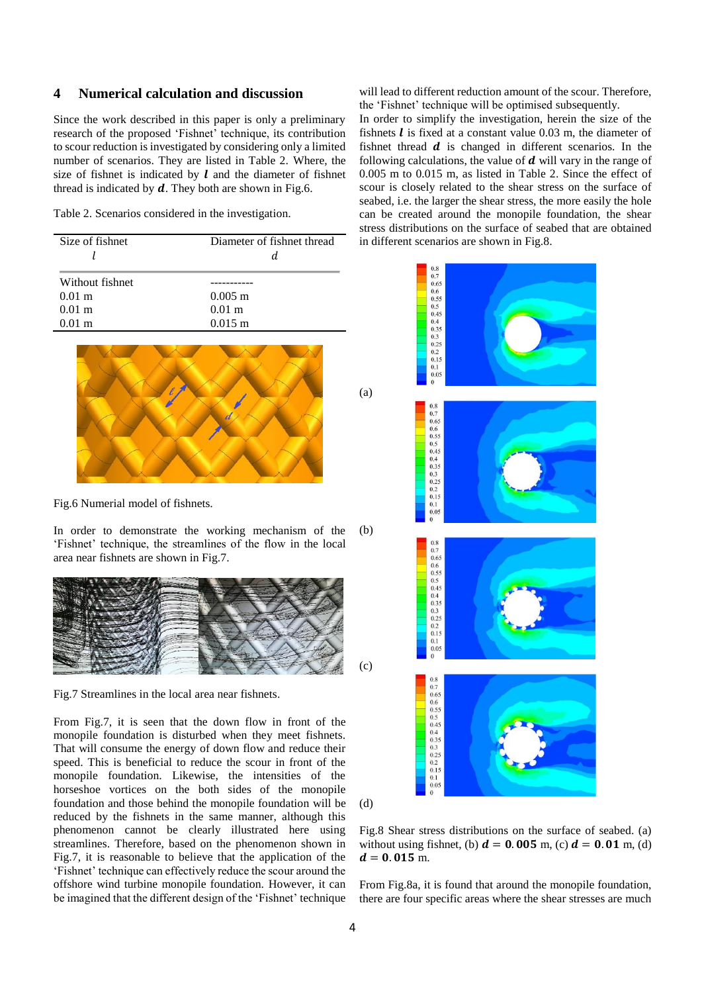## **4 Numerical calculation and discussion**

Since the work described in this paper is only a preliminary research of the proposed 'Fishnet' technique, its contribution to scour reduction is investigated by considering only a limited number of scenarios. They are listed in Table 2. Where, the size of fishnet is indicated by  $\boldsymbol{l}$  and the diameter of fishnet thread is indicated by  $d$ . They both are shown in Fig.6.

Table 2. Scenarios considered in the investigation.

| Size of fishnet      | Diameter of fishnet thread |
|----------------------|----------------------------|
| Without fishnet      |                            |
| $0.01 \; \mathrm{m}$ | $0.005 \text{ m}$          |
| $0.01 \; \mathrm{m}$ | $0.01 \; \mathrm{m}$       |
| $0.01 \text{ m}$     | $0.015 \text{ m}$          |



Fig.6 Numerial model of fishnets.

In order to demonstrate the working mechanism of the 'Fishnet' technique, the streamlines of the flow in the local area near fishnets are shown in Fig.7.  $(h)$ 



Fig.7 Streamlines in the local area near fishnets.

From Fig.7, it is seen that the down flow in front of the monopile foundation is disturbed when they meet fishnets. That will consume the energy of down flow and reduce their speed. This is beneficial to reduce the scour in front of the monopile foundation. Likewise, the intensities of the horseshoe vortices on the both sides of the monopile foundation and those behind the monopile foundation will be reduced by the fishnets in the same manner, although this phenomenon cannot be clearly illustrated here using streamlines. Therefore, based on the phenomenon shown in Fig.7, it is reasonable to believe that the application of the 'Fishnet' technique can effectively reduce the scour around the offshore wind turbine monopile foundation. However, it can be imagined that the different design of the 'Fishnet' technique will lead to different reduction amount of the scour. Therefore, the 'Fishnet' technique will be optimised subsequently.

In order to simplify the investigation, herein the size of the fishnets  $\bm{l}$  is fixed at a constant value 0.03 m, the diameter of fishnet thread  $d$  is changed in different scenarios. In the following calculations, the value of  $\boldsymbol{d}$  will vary in the range of 0.005 m to 0.015 m, as listed in Table 2. Since the effect of scour is closely related to the shear stress on the surface of seabed, i.e. the larger the shear stress, the more easily the hole can be created around the monopile foundation, the shear stress distributions on the surface of seabed that are obtained in different scenarios are shown in Fig.8.



(d)

(a)

Fig.8 Shear stress distributions on the surface of seabed. (a) without using fishnet, (b)  $d = 0.005$  m, (c)  $d = 0.01$  m, (d)  $d = 0.015$  m.

From Fig.8a, it is found that around the monopile foundation, there are four specific areas where the shear stresses are much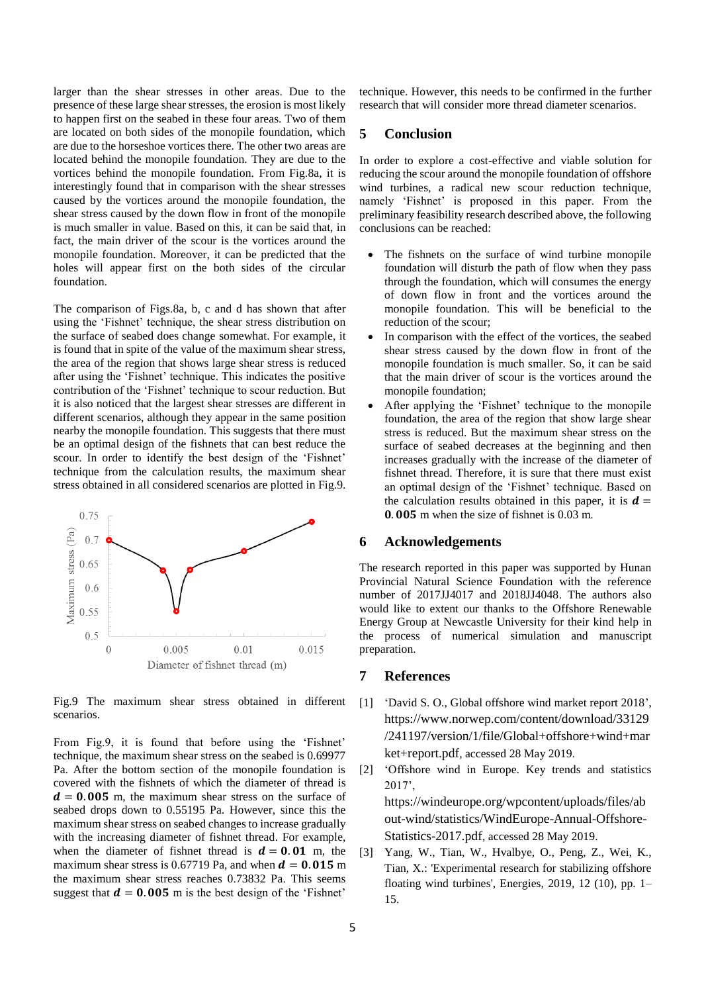larger than the shear stresses in other areas. Due to the presence of these large shear stresses, the erosion is most likely to happen first on the seabed in these four areas. Two of them are located on both sides of the monopile foundation, which are due to the horseshoe vortices there. The other two areas are located behind the monopile foundation. They are due to the vortices behind the monopile foundation. From Fig.8a, it is interestingly found that in comparison with the shear stresses caused by the vortices around the monopile foundation, the shear stress caused by the down flow in front of the monopile is much smaller in value. Based on this, it can be said that, in fact, the main driver of the scour is the vortices around the monopile foundation. Moreover, it can be predicted that the holes will appear first on the both sides of the circular foundation.

The comparison of Figs.8a, b, c and d has shown that after using the 'Fishnet' technique, the shear stress distribution on the surface of seabed does change somewhat. For example, it is found that in spite of the value of the maximum shear stress, the area of the region that shows large shear stress is reduced after using the 'Fishnet' technique. This indicates the positive contribution of the 'Fishnet' technique to scour reduction. But it is also noticed that the largest shear stresses are different in different scenarios, although they appear in the same position nearby the monopile foundation. This suggests that there must be an optimal design of the fishnets that can best reduce the scour. In order to identify the best design of the 'Fishnet' technique from the calculation results, the maximum shear stress obtained in all considered scenarios are plotted in Fig.9.



Fig.9 The maximum shear stress obtained in different scenarios.

From Fig.9, it is found that before using the 'Fishnet' technique, the maximum shear stress on the seabed is 0.69977 Pa. After the bottom section of the monopile foundation is covered with the fishnets of which the diameter of thread is  $d = 0.005$  m, the maximum shear stress on the surface of seabed drops down to 0.55195 Pa. However, since this the maximum shear stress on seabed changes to increase gradually with the increasing diameter of fishnet thread. For example, when the diameter of fishnet thread is  $d = 0.01$  m, the maximum shear stress is 0.67719 Pa, and when  $d = 0.015$  m the maximum shear stress reaches 0.73832 Pa. This seems suggest that  $d = 0.005$  m is the best design of the 'Fishnet'

technique. However, this needs to be confirmed in the further research that will consider more thread diameter scenarios.

## **5 Conclusion**

In order to explore a cost-effective and viable solution for reducing the scour around the monopile foundation of offshore wind turbines, a radical new scour reduction technique, namely 'Fishnet' is proposed in this paper. From the preliminary feasibility research described above, the following conclusions can be reached:

- The fishnets on the surface of wind turbine monopile foundation will disturb the path of flow when they pass through the foundation, which will consumes the energy of down flow in front and the vortices around the monopile foundation. This will be beneficial to the reduction of the scour;
- In comparison with the effect of the vortices, the seabed shear stress caused by the down flow in front of the monopile foundation is much smaller. So, it can be said that the main driver of scour is the vortices around the monopile foundation;
- After applying the 'Fishnet' technique to the monopile foundation, the area of the region that show large shear stress is reduced. But the maximum shear stress on the surface of seabed decreases at the beginning and then increases gradually with the increase of the diameter of fishnet thread. Therefore, it is sure that there must exist an optimal design of the 'Fishnet' technique. Based on the calculation results obtained in this paper, it is  $d =$ **0.005** m when the size of fishnet is  $0.03$  m.

#### **6 Acknowledgements**

The research reported in this paper was supported by Hunan Provincial Natural Science Foundation with the reference number of 2017JJ4017 and 2018JJ4048. The authors also would like to extent our thanks to the Offshore Renewable Energy Group at Newcastle University for their kind help in the process of numerical simulation and manuscript preparation.

## **7 References**

- [1] 'David S. O., Global offshore wind market report 2018', [https://www.norwep.com/content/download/33129](https://www.norwep.com/content/download/33129/241197/version/1/file/Global+offshore+wind+market+report.pdf) [/241197/version/1/file/Global+offshore+wind+mar](https://www.norwep.com/content/download/33129/241197/version/1/file/Global+offshore+wind+market+report.pdf) [ket+report.pdf](https://www.norwep.com/content/download/33129/241197/version/1/file/Global+offshore+wind+market+report.pdf), accessed 28 May 2019.
- [2] 'Offshore wind in Europe. Key trends and statistics 2017',

[https://windeurope.org/wpcontent/uploads/files/ab](https://windeurope.org/wpcontent/uploads/files/about-wind/statistics/WindEurope-Annual-Offshore-Statistics-2017.pdf) [out-wind/statistics/WindEurope-Annual-Offshore-](https://windeurope.org/wpcontent/uploads/files/about-wind/statistics/WindEurope-Annual-Offshore-Statistics-2017.pdf)[Statistics-2017.pdf](https://windeurope.org/wpcontent/uploads/files/about-wind/statistics/WindEurope-Annual-Offshore-Statistics-2017.pdf), accessed 28 May 2019.

[3] Yang, W., Tian, W., Hvalbye, O., Peng, Z., Wei, K., Tian, X.: 'Experimental research for stabilizing offshore floating wind turbines', Energies, 2019, 12 (10), pp.  $1-$ 15.